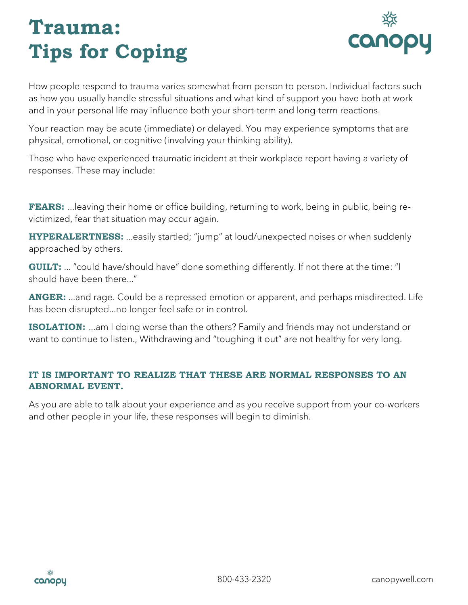## **Trauma: Tips for Coping**



How people respond to trauma varies somewhat from person to person. Individual factors such as how you usually handle stressful situations and what kind of support you have both at work and in your personal life may influence both your short-term and long-term reactions.

Your reaction may be acute (immediate) or delayed. You may experience symptoms that are physical, emotional, or cognitive (involving your thinking ability).

Those who have experienced traumatic incident at their workplace report having a variety of responses. These may include:

**FEARS:** ... leaving their home or office building, returning to work, being in public, being revictimized, fear that situation may occur again.

**HYPERALERTNESS:** ...easily startled; "jump" at loud/unexpected noises or when suddenly approached by others.

**GUILT:** ... "could have/should have" done something differently. If not there at the time: "I should have been there..."

**ANGER:** ...and rage. Could be a repressed emotion or apparent, and perhaps misdirected. Life has been disrupted...no longer feel safe or in control.

**ISOLATION:** ...am I doing worse than the others? Family and friends may not understand or want to continue to listen., Withdrawing and "toughing it out" are not healthy for very long.

### **IT IS IMPORTANT TO REALIZE THAT THESE ARE NORMAL RESPONSES TO AN ABNORMAL EVENT.**

As you are able to talk about your experience and as you receive support from your co-workers and other people in your life, these responses will begin to diminish.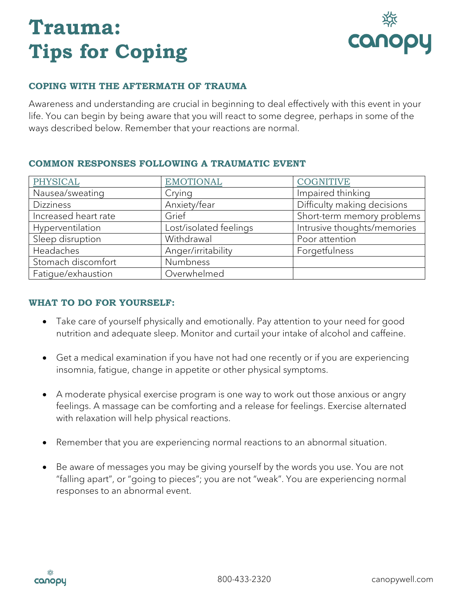# **Trauma: Tips for Coping**



## **COPING WITH THE AFTERMATH OF TRAUMA**

Awareness and understanding are crucial in beginning to deal effectively with this event in your life. You can begin by being aware that you will react to some degree, perhaps in some of the ways described below. Remember that your reactions are normal.

| PHYSICAL             | <b>EMOTIONAL</b>       | <b>COGNITIVE</b>            |
|----------------------|------------------------|-----------------------------|
| Nausea/sweating      | Crying                 | Impaired thinking           |
| <b>Dizziness</b>     | Anxiety/fear           | Difficulty making decisions |
| Increased heart rate | Grief                  | Short-term memory problems  |
| Hyperventilation     | Lost/isolated feelings | Intrusive thoughts/memories |
| Sleep disruption     | Withdrawal             | Poor attention              |
| Headaches            | Anger/irritability     | Forgetfulness               |
| Stomach discomfort   | Numbness               |                             |
| Fatigue/exhaustion   | Overwhelmed            |                             |

#### **COMMON RESPONSES FOLLOWING A TRAUMATIC EVENT**

### **WHAT TO DO FOR YOURSELF:**

- Take care of yourself physically and emotionally. Pay attention to your need for good nutrition and adequate sleep. Monitor and curtail your intake of alcohol and caffeine.
- Get a medical examination if you have not had one recently or if you are experiencing insomnia, fatigue, change in appetite or other physical symptoms.
- A moderate physical exercise program is one way to work out those anxious or angry feelings. A massage can be comforting and a release for feelings. Exercise alternated with relaxation will help physical reactions.
- Remember that you are experiencing normal reactions to an abnormal situation.
- Be aware of messages you may be giving yourself by the words you use. You are not "falling apart", or "going to pieces"; you are not "weak". You are experiencing normal responses to an abnormal event.